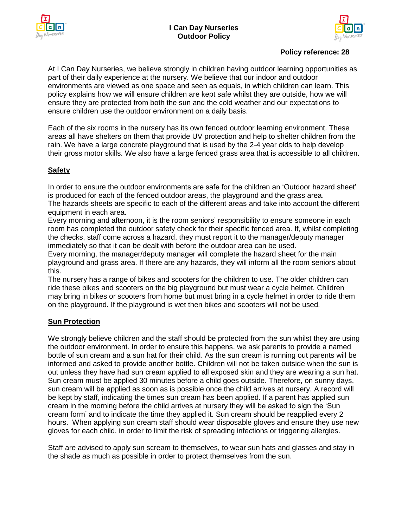

# **Policy reference: 28**

At I Can Day Nurseries, we believe strongly in children having outdoor learning opportunities as part of their daily experience at the nursery. We believe that our indoor and outdoor environments are viewed as one space and seen as equals, in which children can learn. This policy explains how we will ensure children are kept safe whilst they are outside, how we will ensure they are protected from both the sun and the cold weather and our expectations to ensure children use the outdoor environment on a daily basis.

Each of the six rooms in the nursery has its own fenced outdoor learning environment. These areas all have shelters on them that provide UV protection and help to shelter children from the rain. We have a large concrete playground that is used by the 2-4 year olds to help develop their gross motor skills. We also have a large fenced grass area that is accessible to all children.

# **Safety**

In order to ensure the outdoor environments are safe for the children an 'Outdoor hazard sheet' is produced for each of the fenced outdoor areas, the playground and the grass area. The hazards sheets are specific to each of the different areas and take into account the different equipment in each area.

Every morning and afternoon, it is the room seniors' responsibility to ensure someone in each room has completed the outdoor safety check for their specific fenced area. If, whilst completing the checks, staff come across a hazard, they must report it to the manager/deputy manager immediately so that it can be dealt with before the outdoor area can be used.

Every morning, the manager/deputy manager will complete the hazard sheet for the main playground and grass area. If there are any hazards, they will inform all the room seniors about this.

The nursery has a range of bikes and scooters for the children to use. The older children can ride these bikes and scooters on the big playground but must wear a cycle helmet. Children may bring in bikes or scooters from home but must bring in a cycle helmet in order to ride them on the playground. If the playground is wet then bikes and scooters will not be used.

# **Sun Protection**

We strongly believe children and the staff should be protected from the sun whilst they are using the outdoor environment. In order to ensure this happens, we ask parents to provide a named bottle of sun cream and a sun hat for their child. As the sun cream is running out parents will be informed and asked to provide another bottle. Children will not be taken outside when the sun is out unless they have had sun cream applied to all exposed skin and they are wearing a sun hat. Sun cream must be applied 30 minutes before a child goes outside. Therefore, on sunny days, sun cream will be applied as soon as is possible once the child arrives at nursery. A record will be kept by staff, indicating the times sun cream has been applied. If a parent has applied sun cream in the morning before the child arrives at nursery they will be asked to sign the 'Sun cream form' and to indicate the time they applied it. Sun cream should be reapplied every 2 hours. When applying sun cream staff should wear disposable gloves and ensure they use new gloves for each child, in order to limit the risk of spreading infections or triggering allergies.

Staff are advised to apply sun scream to themselves, to wear sun hats and glasses and stay in the shade as much as possible in order to protect themselves from the sun.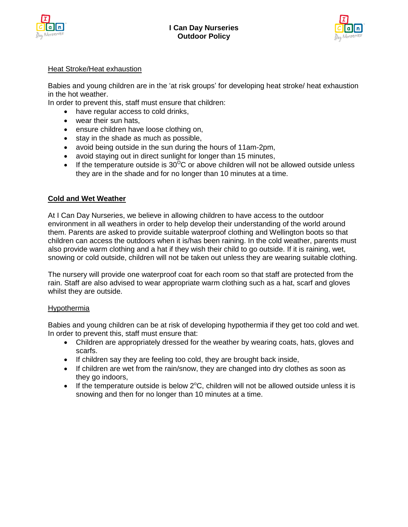



### Heat Stroke/Heat exhaustion

Babies and young children are in the 'at risk groups' for developing heat stroke/ heat exhaustion in the hot weather.

In order to prevent this, staff must ensure that children:

- have regular access to cold drinks,
- wear their sun hats,
- ensure children have loose clothing on,
- stay in the shade as much as possible,
- avoid being outside in the sun during the hours of 11am-2pm,
- avoid staying out in direct sunlight for longer than 15 minutes,
- If the temperature outside is  $30^{\circ}$ C or above children will not be allowed outside unless they are in the shade and for no longer than 10 minutes at a time.

### **Cold and Wet Weather**

At I Can Day Nurseries, we believe in allowing children to have access to the outdoor environment in all weathers in order to help develop their understanding of the world around them. Parents are asked to provide suitable waterproof clothing and Wellington boots so that children can access the outdoors when it is/has been raining. In the cold weather, parents must also provide warm clothing and a hat if they wish their child to go outside. If it is raining, wet, snowing or cold outside, children will not be taken out unless they are wearing suitable clothing.

The nursery will provide one waterproof coat for each room so that staff are protected from the rain. Staff are also advised to wear appropriate warm clothing such as a hat, scarf and gloves whilst they are outside.

### Hypothermia

Babies and young children can be at risk of developing hypothermia if they get too cold and wet. In order to prevent this, staff must ensure that:

- Children are appropriately dressed for the weather by wearing coats, hats, gloves and scarfs.
- If children say they are feeling too cold, they are brought back inside,
- If children are wet from the rain/snow, they are changed into dry clothes as soon as they go indoors,
- If the temperature outside is below  $2^{\circ}$ C, children will not be allowed outside unless it is snowing and then for no longer than 10 minutes at a time.